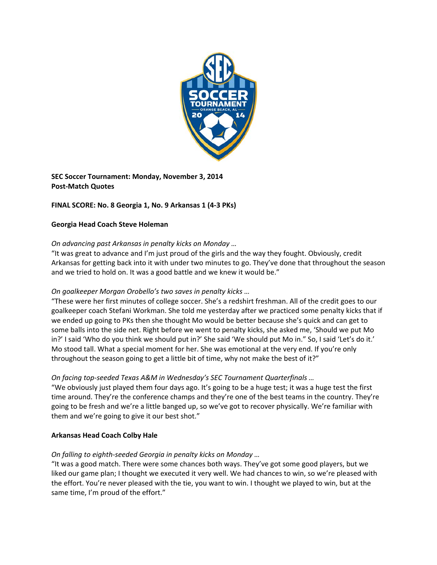

**SEC Soccer Tournament: Monday, November 3, 2014 Post‐Match Quotes**

# **FINAL SCORE: No. 8 Georgia 1, No. 9 Arkansas 1 (4‐3 PKs)**

### **Georgia Head Coach Steve Holeman**

## *On advancing past Arkansas in penalty kicks on Monday …*

"It was great to advance and I'm just proud of the girls and the way they fought. Obviously, credit Arkansas for getting back into it with under two minutes to go. They've done that throughout the season and we tried to hold on. It was a good battle and we knew it would be."

## *On goalkeeper Morgan Orobello's two saves in penalty kicks …*

"These were her first minutes of college soccer. She's a redshirt freshman. All of the credit goes to our goalkeeper coach Stefani Workman. She told me yesterday after we practiced some penalty kicks that if we ended up going to PKs then she thought Mo would be better because she's quick and can get to some balls into the side net. Right before we went to penalty kicks, she asked me, 'Should we put Mo in?' I said 'Who do you think we should put in?' She said 'We should put Mo in." So, I said 'Let's do it.' Mo stood tall. What a special moment for her. She was emotional at the very end. If you're only throughout the season going to get a little bit of time, why not make the best of it?"

#### *On facing top‐seeded Texas A&M in Wednesday's SEC Tournament Quarterfinals …*

"We obviously just played them four days ago. It's going to be a huge test; it was a huge test the first time around. They're the conference champs and they're one of the best teams in the country. They're going to be fresh and we're a little banged up, so we've got to recover physically. We're familiar with them and we're going to give it our best shot."

#### **Arkansas Head Coach Colby Hale**

#### *On falling to eighth‐seeded Georgia in penalty kicks on Monday …*

"It was a good match. There were some chances both ways. They've got some good players, but we liked our game plan; I thought we executed it very well. We had chances to win, so we're pleased with the effort. You're never pleased with the tie, you want to win. I thought we played to win, but at the same time, I'm proud of the effort."